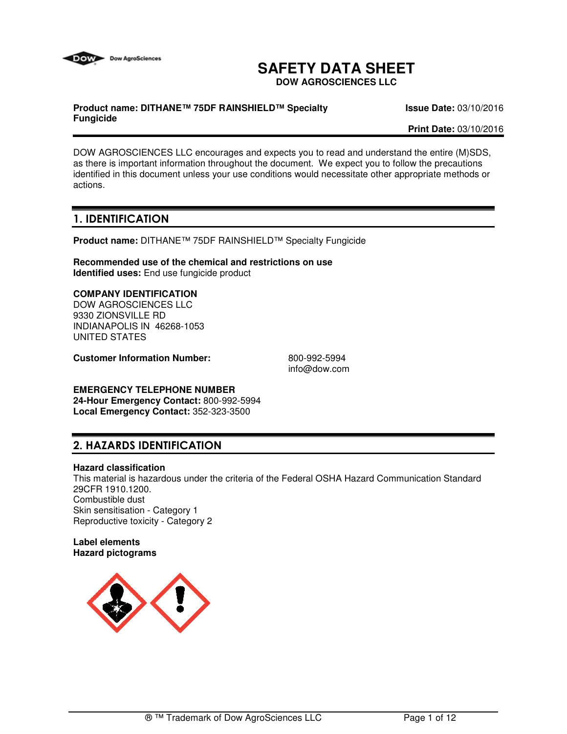

# **SAFETY DATA SHEET**

**DOW AGROSCIENCES LLC**

### **Product name: DITHANE™ 75DF RAINSHIELD™ Specialty Fungicide**

**Issue Date:** 03/10/2016

**Print Date:** 03/10/2016

DOW AGROSCIENCES LLC encourages and expects you to read and understand the entire (M)SDS, as there is important information throughout the document. We expect you to follow the precautions identified in this document unless your use conditions would necessitate other appropriate methods or actions.

# **1. IDENTIFICATION**

**Product name:** DITHANE™ 75DF RAINSHIELD™ Specialty Fungicide

**Recommended use of the chemical and restrictions on use Identified uses:** End use fungicide product

### **COMPANY IDENTIFICATION**

DOW AGROSCIENCES LLC 9330 ZIONSVILLE RD INDIANAPOLIS IN 46268-1053 UNITED STATES

**Customer Information Number:** 800-992-5994

info@dow.com

### **EMERGENCY TELEPHONE NUMBER 24-Hour Emergency Contact:** 800-992-5994

**Local Emergency Contact:** 352-323-3500

# **2. HAZARDS IDENTIFICATION**

### **Hazard classification**

This material is hazardous under the criteria of the Federal OSHA Hazard Communication Standard 29CFR 1910.1200. Combustible dust Skin sensitisation - Category 1 Reproductive toxicity - Category 2

### **Label elements Hazard pictograms**

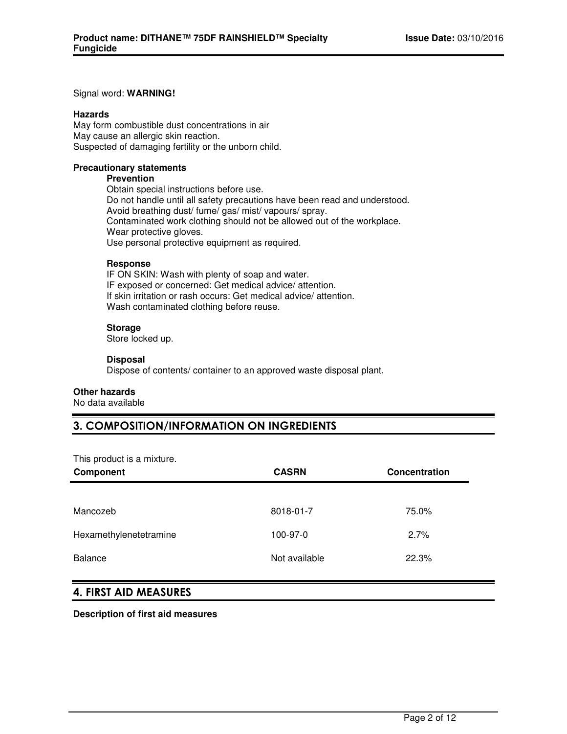### Signal word: **WARNING!**

### **Hazards**

May form combustible dust concentrations in air May cause an allergic skin reaction. Suspected of damaging fertility or the unborn child.

### **Precautionary statements**

### **Prevention**

Obtain special instructions before use. Do not handle until all safety precautions have been read and understood. Avoid breathing dust/ fume/ gas/ mist/ vapours/ spray. Contaminated work clothing should not be allowed out of the workplace. Wear protective gloves. Use personal protective equipment as required.

### **Response**

IF ON SKIN: Wash with plenty of soap and water. IF exposed or concerned: Get medical advice/ attention. If skin irritation or rash occurs: Get medical advice/ attention. Wash contaminated clothing before reuse.

### **Storage**

Store locked up.

### **Disposal**

Dispose of contents/ container to an approved waste disposal plant.

### **Other hazards**

No data available

# **3. COMPOSITION/INFORMATION ON INGREDIENTS**

This product is a mixture.

| The product is a minute of<br>Component | <b>CASRN</b>  | Concentration |
|-----------------------------------------|---------------|---------------|
|                                         |               |               |
| Mancozeb                                | 8018-01-7     | 75.0%         |
| Hexamethylenetetramine                  | 100-97-0      | 2.7%          |
| <b>Balance</b>                          | Not available | 22.3%         |

### **4. FIRST AID MEASURES**

**Description of first aid measures**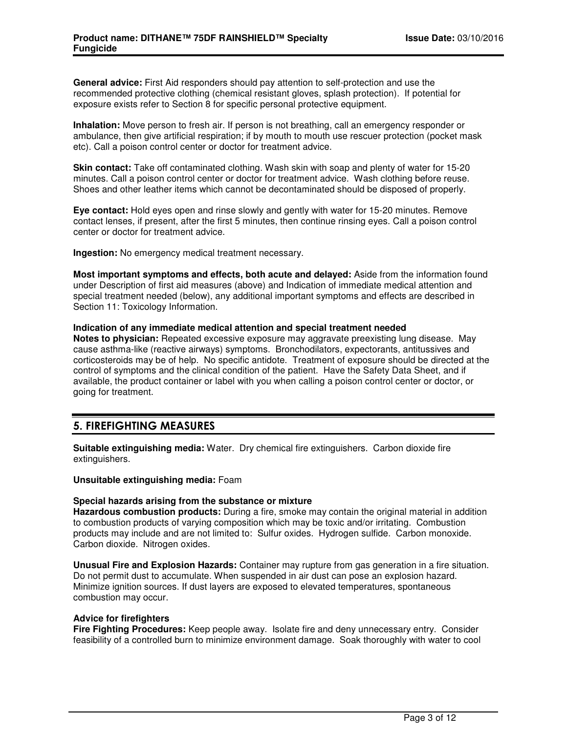**General advice:** First Aid responders should pay attention to self-protection and use the recommended protective clothing (chemical resistant gloves, splash protection). If potential for exposure exists refer to Section 8 for specific personal protective equipment.

**Inhalation:** Move person to fresh air. If person is not breathing, call an emergency responder or ambulance, then give artificial respiration; if by mouth to mouth use rescuer protection (pocket mask etc). Call a poison control center or doctor for treatment advice.

**Skin contact:** Take off contaminated clothing. Wash skin with soap and plenty of water for 15-20 minutes. Call a poison control center or doctor for treatment advice. Wash clothing before reuse. Shoes and other leather items which cannot be decontaminated should be disposed of properly.

**Eye contact:** Hold eyes open and rinse slowly and gently with water for 15-20 minutes. Remove contact lenses, if present, after the first 5 minutes, then continue rinsing eyes. Call a poison control center or doctor for treatment advice.

**Ingestion:** No emergency medical treatment necessary.

**Most important symptoms and effects, both acute and delayed:** Aside from the information found under Description of first aid measures (above) and Indication of immediate medical attention and special treatment needed (below), any additional important symptoms and effects are described in Section 11: Toxicology Information.

### **Indication of any immediate medical attention and special treatment needed**

**Notes to physician:** Repeated excessive exposure may aggravate preexisting lung disease. May cause asthma-like (reactive airways) symptoms. Bronchodilators, expectorants, antitussives and corticosteroids may be of help. No specific antidote. Treatment of exposure should be directed at the control of symptoms and the clinical condition of the patient. Have the Safety Data Sheet, and if available, the product container or label with you when calling a poison control center or doctor, or going for treatment.

### **5. FIREFIGHTING MEASURES**

**Suitable extinguishing media:** Water. Dry chemical fire extinguishers. Carbon dioxide fire extinguishers.

**Unsuitable extinguishing media:** Foam

### **Special hazards arising from the substance or mixture**

**Hazardous combustion products:** During a fire, smoke may contain the original material in addition to combustion products of varying composition which may be toxic and/or irritating. Combustion products may include and are not limited to: Sulfur oxides. Hydrogen sulfide. Carbon monoxide. Carbon dioxide. Nitrogen oxides.

**Unusual Fire and Explosion Hazards:** Container may rupture from gas generation in a fire situation. Do not permit dust to accumulate. When suspended in air dust can pose an explosion hazard. Minimize ignition sources. If dust layers are exposed to elevated temperatures, spontaneous combustion may occur.

### **Advice for firefighters**

**Fire Fighting Procedures:** Keep people away. Isolate fire and deny unnecessary entry. Consider feasibility of a controlled burn to minimize environment damage. Soak thoroughly with water to cool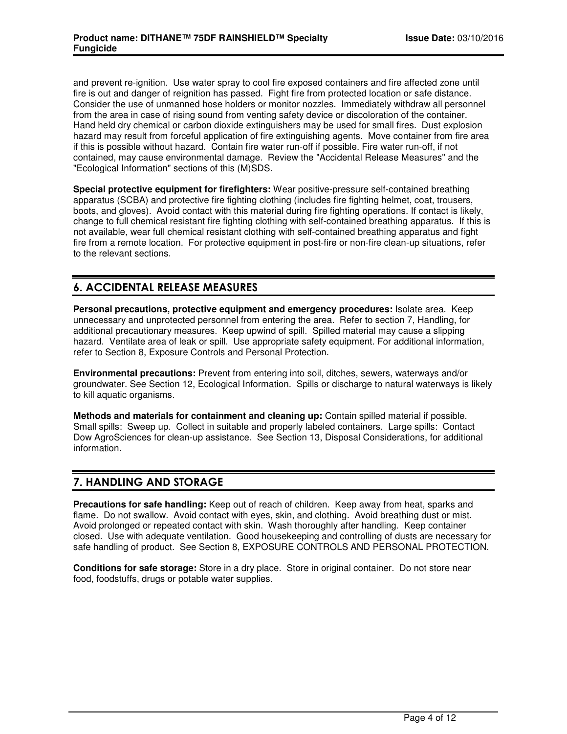and prevent re-ignition. Use water spray to cool fire exposed containers and fire affected zone until fire is out and danger of reignition has passed. Fight fire from protected location or safe distance. Consider the use of unmanned hose holders or monitor nozzles. Immediately withdraw all personnel from the area in case of rising sound from venting safety device or discoloration of the container. Hand held dry chemical or carbon dioxide extinguishers may be used for small fires. Dust explosion hazard may result from forceful application of fire extinguishing agents. Move container from fire area if this is possible without hazard. Contain fire water run-off if possible. Fire water run-off, if not contained, may cause environmental damage. Review the "Accidental Release Measures" and the "Ecological Information" sections of this (M)SDS.

**Special protective equipment for firefighters:** Wear positive-pressure self-contained breathing apparatus (SCBA) and protective fire fighting clothing (includes fire fighting helmet, coat, trousers, boots, and gloves). Avoid contact with this material during fire fighting operations. If contact is likely, change to full chemical resistant fire fighting clothing with self-contained breathing apparatus. If this is not available, wear full chemical resistant clothing with self-contained breathing apparatus and fight fire from a remote location. For protective equipment in post-fire or non-fire clean-up situations, refer to the relevant sections.

# **6. ACCIDENTAL RELEASE MEASURES**

**Personal precautions, protective equipment and emergency procedures:** Isolate area. Keep unnecessary and unprotected personnel from entering the area. Refer to section 7, Handling, for additional precautionary measures. Keep upwind of spill. Spilled material may cause a slipping hazard. Ventilate area of leak or spill. Use appropriate safety equipment. For additional information, refer to Section 8, Exposure Controls and Personal Protection.

**Environmental precautions:** Prevent from entering into soil, ditches, sewers, waterways and/or groundwater. See Section 12, Ecological Information. Spills or discharge to natural waterways is likely to kill aquatic organisms.

**Methods and materials for containment and cleaning up:** Contain spilled material if possible. Small spills: Sweep up. Collect in suitable and properly labeled containers. Large spills: Contact Dow AgroSciences for clean-up assistance. See Section 13, Disposal Considerations, for additional information.

# **7. HANDLING AND STORAGE**

**Precautions for safe handling:** Keep out of reach of children. Keep away from heat, sparks and flame. Do not swallow. Avoid contact with eyes, skin, and clothing. Avoid breathing dust or mist. Avoid prolonged or repeated contact with skin. Wash thoroughly after handling. Keep container closed. Use with adequate ventilation. Good housekeeping and controlling of dusts are necessary for safe handling of product. See Section 8, EXPOSURE CONTROLS AND PERSONAL PROTECTION.

**Conditions for safe storage:** Store in a dry place. Store in original container. Do not store near food, foodstuffs, drugs or potable water supplies.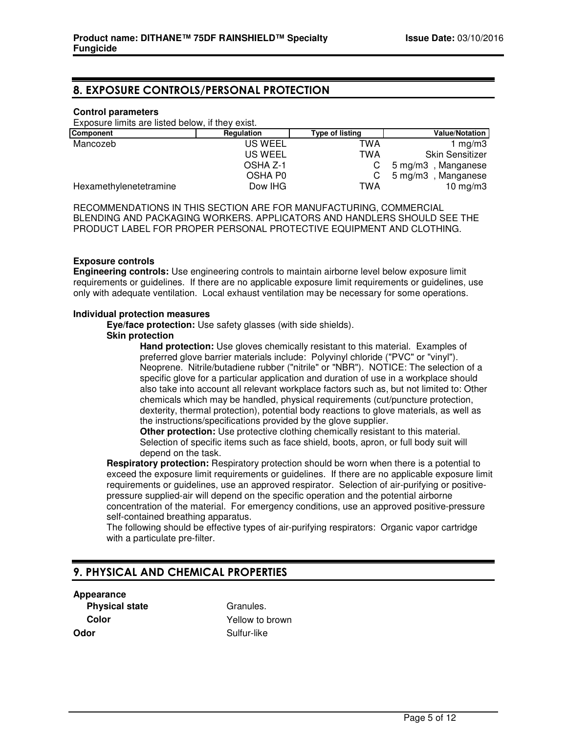# **8. EXPOSURE CONTROLS/PERSONAL PROTECTION**

### **Control parameters**

Exposure limits are listed below, if they exist.

| <b>Component</b>       | Regulation | <b>Type of listing</b> | <b>Value/Notation</b>  |
|------------------------|------------|------------------------|------------------------|
| Mancozeb               | US WEEL    | TWA                    | 1 mg/m $3$             |
|                        | US WEEL    | TWA                    | <b>Skin Sensitizer</b> |
|                        | OSHA Z-1   |                        | 5 mg/m3, Manganese     |
|                        | OSHA P0    |                        | 5 mg/m3, Manganese     |
| Hexamethylenetetramine | Dow IHG    | TWA                    | 10 mg/m $3$            |

RECOMMENDATIONS IN THIS SECTION ARE FOR MANUFACTURING, COMMERCIAL BLENDING AND PACKAGING WORKERS. APPLICATORS AND HANDLERS SHOULD SEE THE PRODUCT LABEL FOR PROPER PERSONAL PROTECTIVE EQUIPMENT AND CLOTHING.

### **Exposure controls**

**Engineering controls:** Use engineering controls to maintain airborne level below exposure limit requirements or guidelines. If there are no applicable exposure limit requirements or guidelines, use only with adequate ventilation. Local exhaust ventilation may be necessary for some operations.

### **Individual protection measures**

**Eye/face protection:** Use safety glasses (with side shields).

### **Skin protection**

**Hand protection:** Use gloves chemically resistant to this material. Examples of preferred glove barrier materials include: Polyvinyl chloride ("PVC" or "vinyl"). Neoprene. Nitrile/butadiene rubber ("nitrile" or "NBR"). NOTICE: The selection of a specific glove for a particular application and duration of use in a workplace should also take into account all relevant workplace factors such as, but not limited to: Other chemicals which may be handled, physical requirements (cut/puncture protection, dexterity, thermal protection), potential body reactions to glove materials, as well as the instructions/specifications provided by the glove supplier.

**Other protection:** Use protective clothing chemically resistant to this material. Selection of specific items such as face shield, boots, apron, or full body suit will depend on the task.

**Respiratory protection:** Respiratory protection should be worn when there is a potential to exceed the exposure limit requirements or guidelines. If there are no applicable exposure limit requirements or guidelines, use an approved respirator. Selection of air-purifying or positivepressure supplied-air will depend on the specific operation and the potential airborne concentration of the material. For emergency conditions, use an approved positive-pressure self-contained breathing apparatus.

The following should be effective types of air-purifying respirators: Organic vapor cartridge with a particulate pre-filter.

# **9. PHYSICAL AND CHEMICAL PROPERTIES**

**Appearance**

**Odor** Sulfur-like

**Physical state** Granules. **Color** Yellow to brown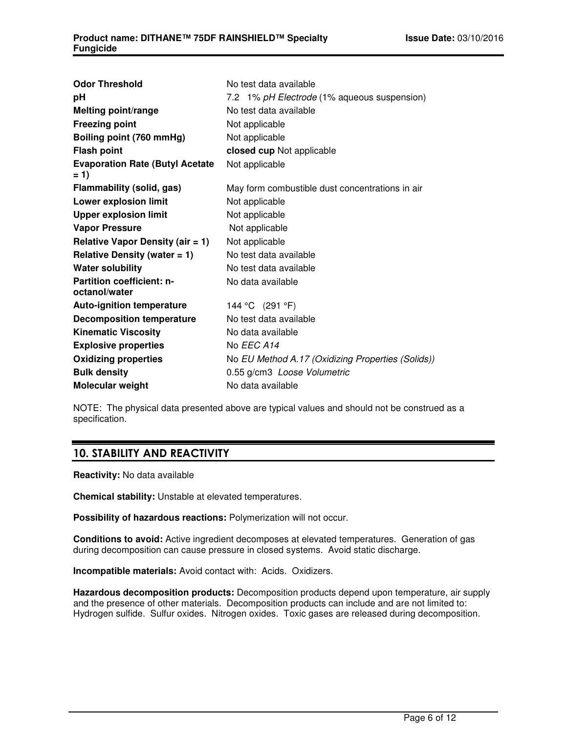| <b>Odor Threshold</b>                             | No test data available                            |
|---------------------------------------------------|---------------------------------------------------|
| рH                                                | 7.2 1% pH Electrode (1% aqueous suspension)       |
| <b>Melting point/range</b>                        | No test data available                            |
| <b>Freezing point</b>                             | Not applicable                                    |
| Boiling point (760 mmHg)                          | Not applicable                                    |
| <b>Flash point</b>                                | closed cup Not applicable                         |
| <b>Evaporation Rate (Butyl Acetate</b><br>$= 1$   | Not applicable                                    |
| Flammability (solid, gas)                         | May form combustible dust concentrations in air   |
| Lower explosion limit                             | Not applicable                                    |
| <b>Upper explosion limit</b>                      | Not applicable                                    |
| <b>Vapor Pressure</b>                             | Not applicable                                    |
| Relative Vapor Density (air $= 1$ )               | Not applicable                                    |
| Relative Density (water $= 1$ )                   | No test data available                            |
| <b>Water solubility</b>                           | No test data available                            |
| <b>Partition coefficient: n-</b><br>octanol/water | No data available                                 |
| <b>Auto-ignition temperature</b>                  | 144 °C (291 °F)                                   |
| <b>Decomposition temperature</b>                  | No test data available                            |
| <b>Kinematic Viscosity</b>                        | No data available                                 |
| <b>Explosive properties</b>                       | No EEC A14                                        |
| <b>Oxidizing properties</b>                       | No EU Method A.17 (Oxidizing Properties (Solids)) |
| <b>Bulk density</b>                               | 0.55 g/cm3 Loose Volumetric                       |
| Molecular weight                                  | No data available                                 |

NOTE: The physical data presented above are typical values and should not be construed as a specification.

# **10. STABILITY AND REACTIVITY**

**Reactivity:** No data available

**Chemical stability:** Unstable at elevated temperatures.

**Possibility of hazardous reactions:** Polymerization will not occur.

**Conditions to avoid:** Active ingredient decomposes at elevated temperatures. Generation of gas during decomposition can cause pressure in closed systems. Avoid static discharge.

**Incompatible materials:** Avoid contact with: Acids. Oxidizers.

**Hazardous decomposition products:** Decomposition products depend upon temperature, air supply and the presence of other materials. Decomposition products can include and are not limited to: Hydrogen sulfide. Sulfur oxides. Nitrogen oxides. Toxic gases are released during decomposition.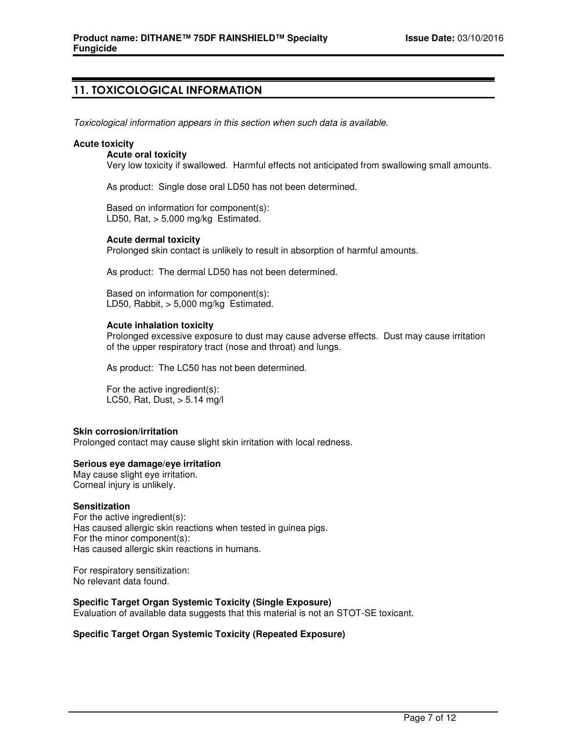# **11. TOXICOLOGICAL INFORMATION**

Toxicological information appears in this section when such data is available.

### **Acute toxicity**

### **Acute oral toxicity**

Very low toxicity if swallowed. Harmful effects not anticipated from swallowing small amounts.

As product: Single dose oral LD50 has not been determined.

Based on information for component(s): LD50, Rat,  $> 5,000$  mg/kg Estimated.

### **Acute dermal toxicity**

Prolonged skin contact is unlikely to result in absorption of harmful amounts.

As product: The dermal LD50 has not been determined.

Based on information for component(s): LD50, Rabbit, > 5,000 mg/kg Estimated.

### **Acute inhalation toxicity**

Prolonged excessive exposure to dust may cause adverse effects. Dust may cause irritation of the upper respiratory tract (nose and throat) and lungs.

As product: The LC50 has not been determined.

For the active ingredient(s): LC50, Rat, Dust, > 5.14 mg/l

#### **Skin corrosion/irritation**

Prolonged contact may cause slight skin irritation with local redness.

### **Serious eye damage/eye irritation**

May cause slight eye irritation. Corneal injury is unlikely.

#### **Sensitization**

For the active ingredient(s): Has caused allergic skin reactions when tested in guinea pigs. For the minor component(s): Has caused allergic skin reactions in humans.

For respiratory sensitization: No relevant data found.

### **Specific Target Organ Systemic Toxicity (Single Exposure)**

Evaluation of available data suggests that this material is not an STOT-SE toxicant.

### **Specific Target Organ Systemic Toxicity (Repeated Exposure)**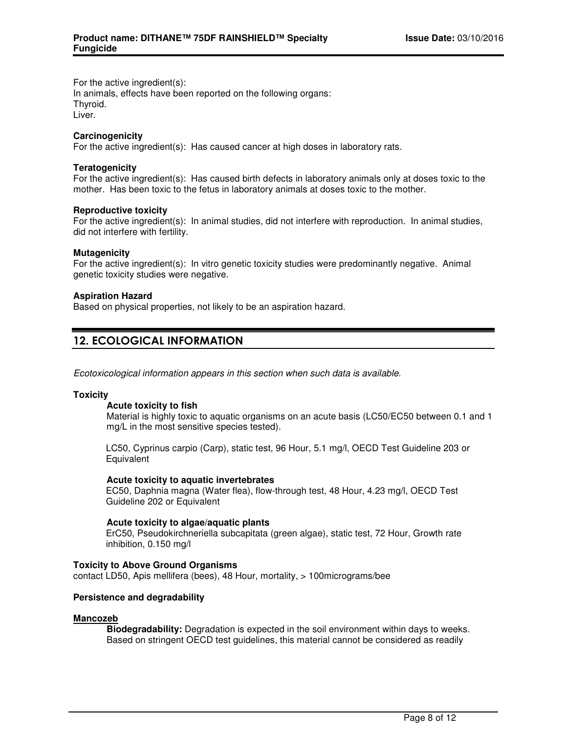For the active ingredient(s):

In animals, effects have been reported on the following organs: Thyroid. Liver.

**Carcinogenicity**

For the active ingredient(s): Has caused cancer at high doses in laboratory rats.

### **Teratogenicity**

For the active ingredient(s): Has caused birth defects in laboratory animals only at doses toxic to the mother. Has been toxic to the fetus in laboratory animals at doses toxic to the mother.

### **Reproductive toxicity**

For the active ingredient(s): In animal studies, did not interfere with reproduction. In animal studies, did not interfere with fertility.

### **Mutagenicity**

For the active ingredient(s): In vitro genetic toxicity studies were predominantly negative. Animal genetic toxicity studies were negative.

### **Aspiration Hazard**

Based on physical properties, not likely to be an aspiration hazard.

# **12. ECOLOGICAL INFORMATION**

Ecotoxicological information appears in this section when such data is available.

### **Toxicity**

### **Acute toxicity to fish**

Material is highly toxic to aquatic organisms on an acute basis (LC50/EC50 between 0.1 and 1 mg/L in the most sensitive species tested).

LC50, Cyprinus carpio (Carp), static test, 96 Hour, 5.1 mg/l, OECD Test Guideline 203 or **Equivalent** 

### **Acute toxicity to aquatic invertebrates**

EC50, Daphnia magna (Water flea), flow-through test, 48 Hour, 4.23 mg/l, OECD Test Guideline 202 or Equivalent

### **Acute toxicity to algae/aquatic plants**

ErC50, Pseudokirchneriella subcapitata (green algae), static test, 72 Hour, Growth rate inhibition, 0.150 mg/l

### **Toxicity to Above Ground Organisms**

contact LD50, Apis mellifera (bees), 48 Hour, mortality, > 100micrograms/bee

### **Persistence and degradability**

### **Mancozeb**

**Biodegradability:** Degradation is expected in the soil environment within days to weeks. Based on stringent OECD test guidelines, this material cannot be considered as readily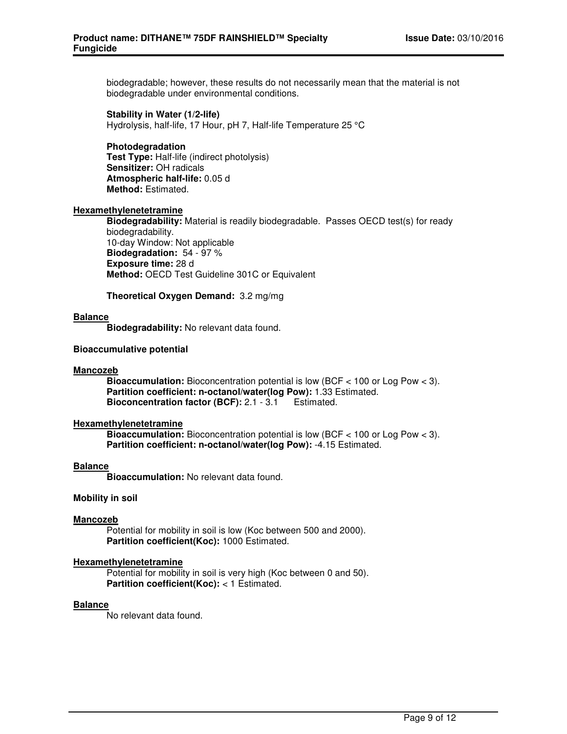biodegradable; however, these results do not necessarily mean that the material is not biodegradable under environmental conditions.

### **Stability in Water (1/2-life)**

Hydrolysis, half-life, 17 Hour, pH 7, Half-life Temperature 25 °C

### **Photodegradation Test Type:** Half-life (indirect photolysis) **Sensitizer:** OH radicals **Atmospheric half-life:** 0.05 d **Method:** Estimated.

### **Hexamethylenetetramine**

**Biodegradability:** Material is readily biodegradable. Passes OECD test(s) for ready biodegradability. 10-day Window: Not applicable **Biodegradation:** 54 - 97 % **Exposure time:** 28 d **Method:** OECD Test Guideline 301C or Equivalent

**Theoretical Oxygen Demand:** 3.2 mg/mg

### **Balance**

**Biodegradability:** No relevant data found.

### **Bioaccumulative potential**

### **Mancozeb**

**Bioaccumulation:** Bioconcentration potential is low (BCF < 100 or Log Pow < 3). **Partition coefficient: n-octanol/water(log Pow):** 1.33 Estimated. **Bioconcentration factor (BCF):** 2.1 - 3.1 Estimated.

### **Hexamethylenetetramine**

**Bioaccumulation:** Bioconcentration potential is low (BCF < 100 or Log Pow < 3). **Partition coefficient: n-octanol/water(log Pow):** -4.15 Estimated.

### **Balance**

**Bioaccumulation:** No relevant data found.

#### **Mobility in soil**

### **Mancozeb**

Potential for mobility in soil is low (Koc between 500 and 2000). **Partition coefficient(Koc):** 1000 Estimated.

### **Hexamethylenetetramine**

Potential for mobility in soil is very high (Koc between 0 and 50). **Partition coefficient(Koc):** < 1 Estimated.

#### **Balance**

No relevant data found.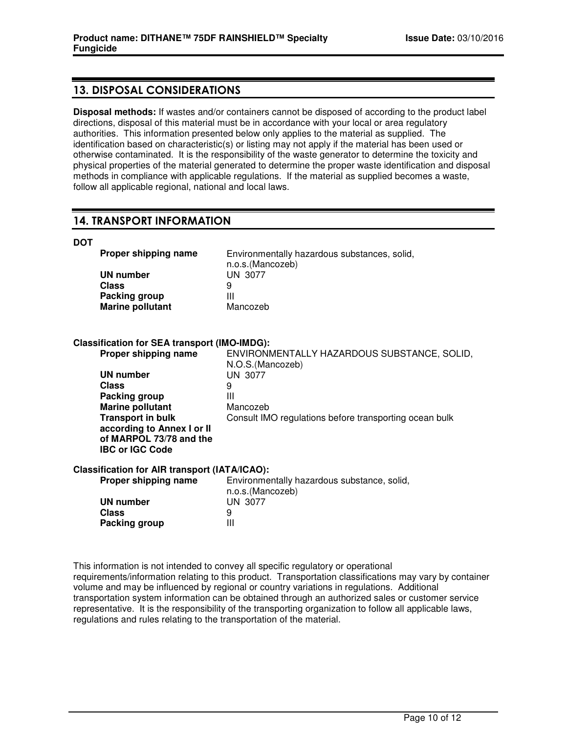# **13. DISPOSAL CONSIDERATIONS**

**Disposal methods:** If wastes and/or containers cannot be disposed of according to the product label directions, disposal of this material must be in accordance with your local or area regulatory authorities. This information presented below only applies to the material as supplied. The identification based on characteristic(s) or listing may not apply if the material has been used or otherwise contaminated. It is the responsibility of the waste generator to determine the toxicity and physical properties of the material generated to determine the proper waste identification and disposal methods in compliance with applicable regulations. If the material as supplied becomes a waste, follow all applicable regional, national and local laws.

# **14. TRANSPORT INFORMATION**

### **DOT**

| Proper shipping name    | Environmentally hazardous substances, solid,<br>n.o.s.(Mancozeb) |
|-------------------------|------------------------------------------------------------------|
| UN number               | UN 3077                                                          |
| Class                   |                                                                  |
| Packing group           | Ш                                                                |
| <b>Marine pollutant</b> | Mancozeb                                                         |

### **Classification for SEA transport (IMO-IMDG):**

| Proper shipping name                                                                                        | ENVIRONMENTALLY HAZARDOUS SUBSTANCE, SOLID,<br>N.O.S. (Mancozeb) |
|-------------------------------------------------------------------------------------------------------------|------------------------------------------------------------------|
| UN number                                                                                                   | UN 3077                                                          |
| <b>Class</b>                                                                                                | 9                                                                |
| Packing group                                                                                               | Ш                                                                |
| <b>Marine pollutant</b>                                                                                     | Mancozeb                                                         |
| <b>Transport in bulk</b><br>according to Annex I or II<br>of MARPOL 73/78 and the<br><b>IBC or IGC Code</b> | Consult IMO regulations before transporting ocean bulk           |
| Classification for AIR transport (IATA/ICAO):                                                               |                                                                  |
| Proper shipping name                                                                                        | Environmentally hazardous substance, solid,<br>n.o.s.(Mancozeb)  |

|                      | n.o.s.(Mancozeb) |
|----------------------|------------------|
| UN number            | UN 3077          |
| <b>Class</b>         | 9                |
| <b>Packing group</b> | Ш                |

This information is not intended to convey all specific regulatory or operational requirements/information relating to this product. Transportation classifications may vary by container volume and may be influenced by regional or country variations in regulations. Additional transportation system information can be obtained through an authorized sales or customer service representative. It is the responsibility of the transporting organization to follow all applicable laws, regulations and rules relating to the transportation of the material.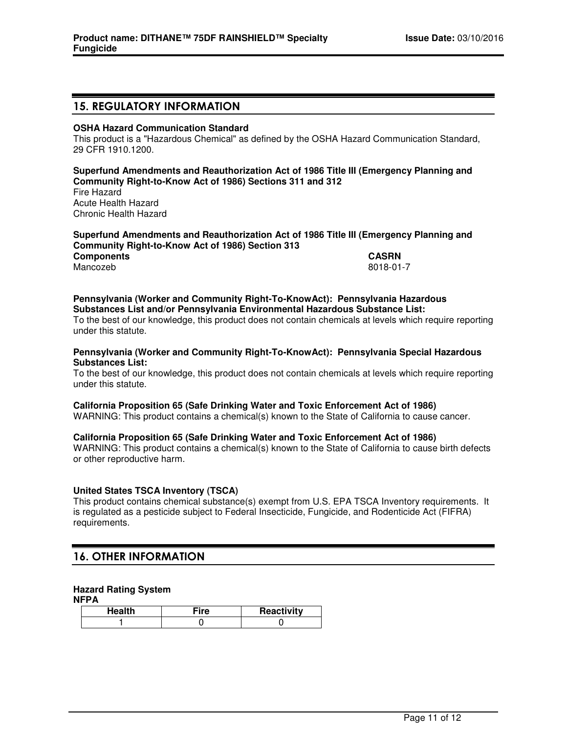## **15. REGULATORY INFORMATION**

### **OSHA Hazard Communication Standard**

This product is a "Hazardous Chemical" as defined by the OSHA Hazard Communication Standard, 29 CFR 1910.1200.

**Superfund Amendments and Reauthorization Act of 1986 Title III (Emergency Planning and Community Right-to-Know Act of 1986) Sections 311 and 312** Fire Hazard Acute Health Hazard Chronic Health Hazard

#### **Superfund Amendments and Reauthorization Act of 1986 Title III (Emergency Planning and Community Right-to-Know Act of 1986) Section 313 Components CASRN**

Mancozeb 8018-01-7

### **Pennsylvania (Worker and Community Right-To-KnowAct): Pennsylvania Hazardous Substances List and/or Pennsylvania Environmental Hazardous Substance List:**

To the best of our knowledge, this product does not contain chemicals at levels which require reporting under this statute.

### **Pennsylvania (Worker and Community Right-To-KnowAct): Pennsylvania Special Hazardous Substances List:**

To the best of our knowledge, this product does not contain chemicals at levels which require reporting under this statute.

### **California Proposition 65 (Safe Drinking Water and Toxic Enforcement Act of 1986)**

WARNING: This product contains a chemical(s) known to the State of California to cause cancer.

### **California Proposition 65 (Safe Drinking Water and Toxic Enforcement Act of 1986)**

WARNING: This product contains a chemical(s) known to the State of California to cause birth defects or other reproductive harm.

### **United States TSCA Inventory (TSCA)**

This product contains chemical substance(s) exempt from U.S. EPA TSCA Inventory requirements. It is regulated as a pesticide subject to Federal Insecticide, Fungicide, and Rodenticide Act (FIFRA) requirements.

### **16. OTHER INFORMATION**

### **Hazard Rating System**

**NFPA**

| Health | ∃ire | Reactivity |
|--------|------|------------|
|        |      |            |